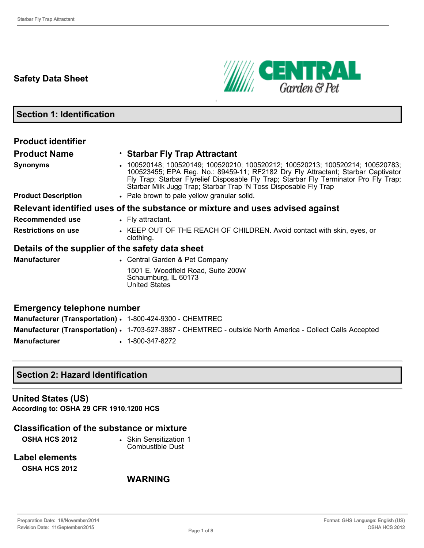### **Safety Data Sheet**



**Section 1: Identification**

| <b>Product identifier</b>                                 |                                                                                                                                                                                                                                                                                                                                                                                      |
|-----------------------------------------------------------|--------------------------------------------------------------------------------------------------------------------------------------------------------------------------------------------------------------------------------------------------------------------------------------------------------------------------------------------------------------------------------------|
|                                                           |                                                                                                                                                                                                                                                                                                                                                                                      |
| <b>Product Name</b>                                       | • Starbar Fly Trap Attractant                                                                                                                                                                                                                                                                                                                                                        |
| <b>Synonyms</b>                                           | 100520148; 100520149; 100520210; 100520212; 100520213; 100520214; 100520783;<br>100523455; EPA Reg. No.: 89459-11; RF2182 Dry Fly Attractant; Starbar Captivator<br>Fly Trap; Starbar Flyrelief Disposable Fly Trap; Starbar Fly Terminator Pro Fly Trap;<br>Starbar Milk Jugg Trap; Starbar Trap 'N Toss Disposable Fly Trap                                                        |
| <b>Product Description</b>                                | • Pale brown to pale yellow granular solid.                                                                                                                                                                                                                                                                                                                                          |
|                                                           | Relevant identified uses of the substance or mixture and uses advised against                                                                                                                                                                                                                                                                                                        |
| Recommended use                                           | • Fly attractant.                                                                                                                                                                                                                                                                                                                                                                    |
| <b>Restrictions on use</b>                                | • KEEP OUT OF THE REACH OF CHILDREN. Avoid contact with skin, eyes, or<br>clothing.                                                                                                                                                                                                                                                                                                  |
| Details of the supplier of the safety data sheet          |                                                                                                                                                                                                                                                                                                                                                                                      |
| <b>Manufacturer</b>                                       | • Central Garden & Pet Company                                                                                                                                                                                                                                                                                                                                                       |
|                                                           | 1501 E. Woodfield Road, Suite 200W<br>Schaumburg, IL 60173<br><b>United States</b>                                                                                                                                                                                                                                                                                                   |
| <b>Emergency telephone number</b>                         |                                                                                                                                                                                                                                                                                                                                                                                      |
| Manufacturer (Transportation) · 1-800-424-9300 - CHEMTREC |                                                                                                                                                                                                                                                                                                                                                                                      |
|                                                           | $\overline{a}$ $\overline{a}$ $\overline{a}$ $\overline{a}$ $\overline{a}$ $\overline{a}$ $\overline{a}$ $\overline{a}$ $\overline{a}$ $\overline{a}$ $\overline{a}$ $\overline{a}$ $\overline{a}$ $\overline{a}$ $\overline{a}$ $\overline{a}$ $\overline{a}$ $\overline{a}$ $\overline{a}$ $\overline{a}$ $\overline{a}$ $\overline{a}$ $\overline{a}$ $\overline{a}$ $\overline{$ |

**Manufacturer (Transportation) · 1-703-527-3887 - CHEMTREC - outside North America - Collect Calls Accepted Manufacturer** • 1-800-347-8272

### **Section 2: Hazard Identification**

#### **United States (US)**

**According to: OSHA 29 CFR 1910.1200 HCS**

### **Classification of the substance or mixture**

**OSHA HCS 2012** • Skin Sensitization 1 Combustible Dust

**Label elements OSHA HCS 2012**

### **WARNING**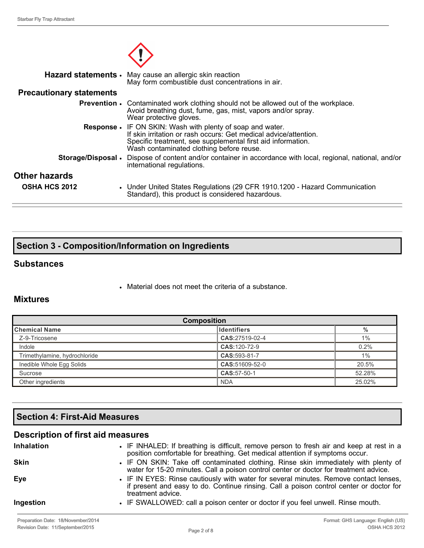|                                 | Hazard statements • May cause an allergic skin reaction<br>May form combustible dust concentrations in air.                                                                                                                                      |
|---------------------------------|--------------------------------------------------------------------------------------------------------------------------------------------------------------------------------------------------------------------------------------------------|
| <b>Precautionary statements</b> |                                                                                                                                                                                                                                                  |
|                                 | <b>Prevention</b> • Contaminated work clothing should not be allowed out of the workplace.<br>Avoid breathing dust, fume, gas, mist, vapors and/or spray.<br>Wear protective gloves.                                                             |
|                                 | <b>Response •</b> IF ON SKIN: Wash with plenty of soap and water.<br>If skin irritation or rash occurs: Get medical advice/attention.<br>Specific treatment, see supplemental first aid information.<br>Wash contaminated clothing before reuse. |
|                                 | <b>Storage/Disposal</b> • Dispose of content and/or container in accordance with local, regional, national, and/or<br>international regulations.                                                                                                 |
| <b>Other hazards</b>            |                                                                                                                                                                                                                                                  |
| <b>OSHA HCS 2012</b>            | • Under United States Regulations (29 CFR 1910.1200 - Hazard Communication<br>Standard), this product is considered hazardous.                                                                                                                   |

### **Section 3 Composition/Information on Ingredients**

#### **Substances**

• Material does not meet the criteria of a substance.

### **Mixtures**

| <b>Composition</b>            |                    |        |
|-------------------------------|--------------------|--------|
| ∥Chemical Name                | <b>Identifiers</b> | %      |
| Z-9-Tricosene                 | CAS:27519-02-4     | $1\%$  |
| Indole                        | CAS: 120-72-9      | 0.2%   |
| Trimethylamine, hydrochloride | CAS:593-81-7       | 1%     |
| Inedible Whole Egg Solids     | CAS:51609-52-0     | 20.5%  |
| Sucrose                       | CAS:57-50-1        | 52.28% |
| Other ingredients             | <b>NDA</b>         | 25.02% |

### **Section 4: First-Aid Measures**

### **Description of first aid measures**

| <b>Inhalation</b> | • IF INHALED: If breathing is difficult, remove person to fresh air and keep at rest in a<br>position comfortable for breathing. Get medical attention if symptoms occur.                             |
|-------------------|-------------------------------------------------------------------------------------------------------------------------------------------------------------------------------------------------------|
| <b>Skin</b>       | • IF ON SKIN: Take off contaminated clothing. Rinse skin immediately with plenty of<br>water for 15-20 minutes. Call a poison control center or doctor for treatment advice.                          |
| Eye               | • IF IN EYES: Rinse cautiously with water for several minutes. Remove contact lenses,<br>if present and easy to do. Continue rinsing. Call a poison control center or doctor for<br>treatment advice. |
| Ingestion         | • IF SWALLOWED: call a poison center or doctor if you feel unwell. Rinse mouth.                                                                                                                       |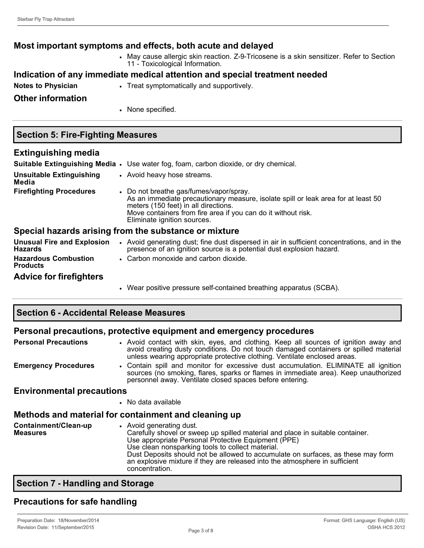### **Most important symptoms and effects, both acute and delayed** • May cause allergic skin reaction. Z-9-Tricosene is a skin sensitizer. Refer to Section 11 - Toxicological Information. **Indication of any immediate medical attention and special treatment needed Notes to Physician • Treat symptomatically and supportively. Other information**

• None specified.

#### **Section 5: Fire-Fighting Measures**

#### **Extinguishing media Suitable Extinguishing Media** • Use water fog, foam, carbon dioxide, or dry chemical. **Unsuitable Extinguishing Media** • Avoid heavy hose streams. **Firefighting Procedures** • Do not breathe gas/fumes/vapor/spray. As an immediate precautionary measure, isolate spill or leak area for at least 50 meters (150 feet) in all directions. Move containers from fire area if you can do it without risk. Eliminate ignition sources. **Special hazards arising from the substance or mixture Unusual Fire and Explosion Hazards** • Avoid generating dust; fine dust dispersed in air in sufficient concentrations, and in the presence of an ignition source is a potential dust explosion hazard. **Hazardous Combustion Products** • Carbon monoxide and carbon dioxide.

#### **Advice for firefighters**

• Wear positive pressure self-contained breathing apparatus (SCBA).

#### **Section 6 Accidental Release Measures**

#### **Personal precautions, protective equipment and emergency procedures**

| • Avoid contact with skin, eyes, and clothing. Keep all sources of ignition away and<br>avoid creating dusty conditions. Do not touch damaged containers or spilled material<br>unless wearing appropriate protective clothing. Ventilate enclosed areas.                                                                                                                      |
|--------------------------------------------------------------------------------------------------------------------------------------------------------------------------------------------------------------------------------------------------------------------------------------------------------------------------------------------------------------------------------|
| • Contain spill and monitor for excessive dust accumulation. ELIMINATE all ignition<br>sources (no smoking, flares, sparks or flames in immediate area). Keep unauthorized<br>personnel away. Ventilate closed spaces before entering.                                                                                                                                         |
| <b>Environmental precautions</b>                                                                                                                                                                                                                                                                                                                                               |
|                                                                                                                                                                                                                                                                                                                                                                                |
| • No data available                                                                                                                                                                                                                                                                                                                                                            |
| Methods and material for containment and cleaning up                                                                                                                                                                                                                                                                                                                           |
| • Avoid generating dust.                                                                                                                                                                                                                                                                                                                                                       |
| Carefully shovel or sweep up spilled material and place in suitable container.<br>Use appropriate Personal Protective Equipment (PPE)<br>Use clean nonsparking tools to collect material.<br>Dust Deposits should not be allowed to accumulate on surfaces, as these may form<br>an explosive mixture if they are released into the atmosphere in sufficient<br>concentration. |
|                                                                                                                                                                                                                                                                                                                                                                                |

#### **Section 7 Handling and Storage**

### **Precautions for safe handling**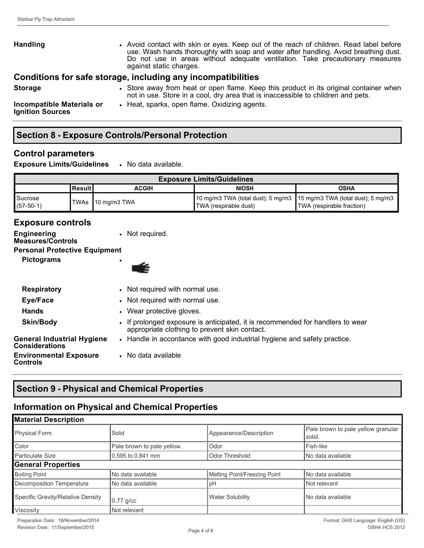| <b>Handling</b>                                             | • Avoid contact with skin or eyes. Keep out of the reach of children. Read label before<br>use. Wash hands thoroughly with soap and water after handling. Avoid breathing dust.<br>Do not use in areas without adequate ventilation. Take precautionary measures<br>against static charges. |
|-------------------------------------------------------------|---------------------------------------------------------------------------------------------------------------------------------------------------------------------------------------------------------------------------------------------------------------------------------------------|
|                                                             | Conditions for safe storage, including any incompatibilities                                                                                                                                                                                                                                |
| <b>Storage</b>                                              | • Store away from heat or open flame. Keep this product in its original container when<br>not in use. Store in a cool, dry area that is inaccessible to children and pets.                                                                                                                  |
| <b>Incompatible Materials or</b><br><b>Ignition Sources</b> | • Heat, sparks, open flame. Oxidizing agents.                                                                                                                                                                                                                                               |

### **Section 8 Exposure Controls/Personal Protection**

### **Control parameters**

**Exposure Limits/Guidelines** • No data available.

| <b>Exposure Limits/Guidelines</b> |            |                    |                                                                                                  |                                  |
|-----------------------------------|------------|--------------------|--------------------------------------------------------------------------------------------------|----------------------------------|
|                                   | l Result I | <b>ACGIH</b>       | <b>NIOSH</b>                                                                                     | OSHA                             |
| Sucrose<br>$(57-50-1)$            |            | ITWAs 10 mg/m3 TWA | 10 mg/m3 TWA (total dust); 5 mg/m3   15 mg/m3 TWA (total dust); 5 mg/m3<br>TWA (respirable dust) | <b>TWA</b> (respirable fraction) |

### **Exposure controls**

| <b>Engineering</b><br><b>Measures/Controls</b>      | • Not required.                                                                                                                 |
|-----------------------------------------------------|---------------------------------------------------------------------------------------------------------------------------------|
| <b>Personal Protective Equipment</b>                |                                                                                                                                 |
| <b>Pictograms</b>                                   |                                                                                                                                 |
| <b>Respiratory</b>                                  | • Not required with normal use.                                                                                                 |
| Eye/Face                                            | • Not required with normal use.                                                                                                 |
| <b>Hands</b>                                        | • Wear protective gloves.                                                                                                       |
| Skin/Body                                           | • If prolonged exposure is anticipated, it is recommended for handlers to wear<br>appropriate clothing to prevent skin contact. |
| General Industrial Hygiene<br><b>Considerations</b> | • Handle in accordance with good industrial hygiene and safety practice.                                                        |
| <b>Environmental Exposure</b><br>Controls           | • No data available                                                                                                             |

## **Section 9 Physical and Chemical Properties**

### **Information on Physical and Chemical Properties**

| <b>Material Description</b>       |                            |                              |                                              |
|-----------------------------------|----------------------------|------------------------------|----------------------------------------------|
| Physical Form                     | Solid                      | Appearance/Description       | Pale brown to pale yellow granular<br>solid. |
| Color                             | Pale brown to pale yellow. | Odor                         | Fish-like                                    |
| <b>Particulate Size</b>           | 0.595 to 0.841 mm          | <b>Odor Threshold</b>        | No data available                            |
| <b>General Properties</b>         |                            |                              |                                              |
| <b>Boiling Point</b>              | No data available          | Melting Point/Freezing Point | No data available                            |
| Decomposition Temperature         | INo data available         | pH                           | Not relevant                                 |
| Specific Gravity/Relative Density | $0.77$ g/cc                | <b>Water Solubility</b>      | l No data available                          |
| Viscosity                         | Not relevant               |                              |                                              |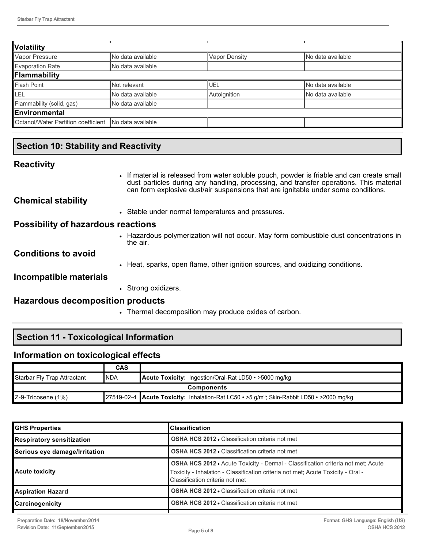| <b>Volatility</b>                   |                    |                      |                   |  |
|-------------------------------------|--------------------|----------------------|-------------------|--|
| Vapor Pressure                      | No data available  | <b>Vapor Density</b> | No data available |  |
| <b>Evaporation Rate</b>             | No data available  |                      |                   |  |
| Flammability                        |                    |                      |                   |  |
| <b>Flash Point</b>                  | Not relevant       | UEL                  | No data available |  |
| LEL                                 | No data available  | Autoignition         | No data available |  |
| Flammability (solid, gas)           | No data available  |                      |                   |  |
| Environmental                       |                    |                      |                   |  |
| Octanol/Water Partition coefficient | INo data available |                      |                   |  |

### **Section 10: Stability and Reactivity**

### **Reactivity**

|                                           | • If material is released from water soluble pouch, powder is friable and can create small<br>dust particles during any handling, processing, and transfer operations. This material<br>can form explosive dust/air suspensions that are ignitable under some conditions. |
|-------------------------------------------|---------------------------------------------------------------------------------------------------------------------------------------------------------------------------------------------------------------------------------------------------------------------------|
| <b>Chemical stability</b>                 |                                                                                                                                                                                                                                                                           |
|                                           | • Stable under normal temperatures and pressures.                                                                                                                                                                                                                         |
| <b>Possibility of hazardous reactions</b> |                                                                                                                                                                                                                                                                           |
|                                           | • Hazardous polymerization will not occur. May form combustible dust concentrations in<br>the air.                                                                                                                                                                        |
| <b>Conditions to avoid</b>                |                                                                                                                                                                                                                                                                           |
|                                           | • Heat, sparks, open flame, other ignition sources, and oxidizing conditions.                                                                                                                                                                                             |
| Incompatible materials                    |                                                                                                                                                                                                                                                                           |
|                                           | • Strong oxidizers.                                                                                                                                                                                                                                                       |
| <b>Hazardous decomposition products</b>   |                                                                                                                                                                                                                                                                           |
|                                           | • Thermal decomposition may produce oxides of carbon.                                                                                                                                                                                                                     |

## **Section 11 - Toxicological Information**

### **Information on toxicological effects**

|                             | <b>CAS</b> |                                                                                                       |
|-----------------------------|------------|-------------------------------------------------------------------------------------------------------|
| Starbar Fly Trap Attractant | <b>NDA</b> | <b>Acute Toxicity:</b> Ingestion/Oral-Rat LD50 • >5000 mg/kg                                          |
| <b>Components</b>           |            |                                                                                                       |
| Z-9-Tricosene (1%)          |            | 27519-02-4 Acute Toxicity: Inhalation-Rat LC50 • >5 g/m <sup>3</sup> ; Skin-Rabbit LD50 • >2000 mg/kg |

| <b>GHS Properties</b>            | <b>Classification</b>                                                                                                                                                                                          |  |
|----------------------------------|----------------------------------------------------------------------------------------------------------------------------------------------------------------------------------------------------------------|--|
| <b>Respiratory sensitization</b> | <b>OSHA HCS 2012 • Classification criteria not met</b>                                                                                                                                                         |  |
| Serious eye damage/Irritation    | <b>OSHA HCS 2012 • Classification criteria not met</b>                                                                                                                                                         |  |
| Acute toxicity                   | <b>OSHA HCS 2012 •</b> Acute Toxicity - Dermal - Classification criteria not met; Acute<br>Toxicity - Inhalation - Classification criteria not met; Acute Toxicity - Oral -<br>Classification criteria not met |  |
| Aspiration Hazard                | <b>OSHA HCS 2012 • Classification criteria not met</b>                                                                                                                                                         |  |
| <b>Carcinogenicity</b>           | <b>OSHA HCS 2012 • Classification criteria not met</b>                                                                                                                                                         |  |
|                                  |                                                                                                                                                                                                                |  |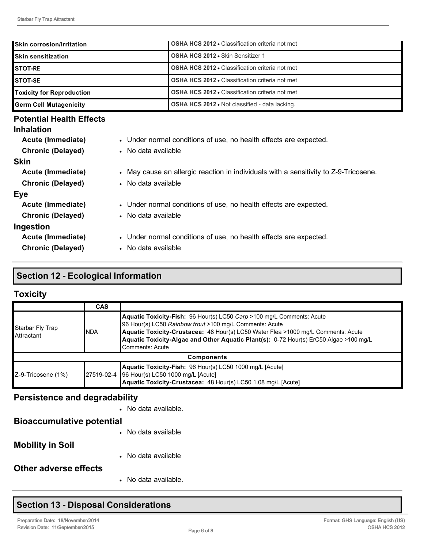| lSkin corrosion/Irritation       | <b>OSHA HCS 2012 • Classification criteria not met</b> |
|----------------------------------|--------------------------------------------------------|
| <b>ISkin sensitization</b>       | <b>OSHA HCS 2012 • Skin Sensitizer 1</b>               |
| <b>ISTOT-RE</b>                  | <b>OSHA HCS 2012 • Classification criteria not met</b> |
| ISTOT-SE                         | <b>OSHA HCS 2012 • Classification criteria not met</b> |
| <b>Toxicity for Reproduction</b> | <b>OSHA HCS 2012 • Classification criteria not met</b> |
| Germ Cell Mutagenicity           | <b>OSHA HCS 2012 • Not classified - data lacking.</b>  |
|                                  |                                                        |

#### **Potential Health Effects**

| <b>Inhalation</b>        |                                                                                      |
|--------------------------|--------------------------------------------------------------------------------------|
| Acute (Immediate)        | • Under normal conditions of use, no health effects are expected.                    |
| <b>Chronic (Delayed)</b> | • No data available                                                                  |
| <b>Skin</b>              |                                                                                      |
| Acute (Immediate)        | • May cause an allergic reaction in individuals with a sensitivity to Z-9-Tricosene. |
| <b>Chronic (Delayed)</b> | • No data available                                                                  |
| Eye                      |                                                                                      |
| Acute (Immediate)        | • Under normal conditions of use, no health effects are expected.                    |
| <b>Chronic (Delayed)</b> | • No data available                                                                  |
| Ingestion                |                                                                                      |
| Acute (Immediate)        | • Under normal conditions of use, no health effects are expected.                    |
| <b>Chronic (Delayed)</b> | • No data available                                                                  |

### **Section 12 Ecological Information**

## **Toxicity**

|                                 | <b>CAS</b> |                                                                                                                                                                                                                                                                                                                                   |
|---------------------------------|------------|-----------------------------------------------------------------------------------------------------------------------------------------------------------------------------------------------------------------------------------------------------------------------------------------------------------------------------------|
| Starbar Fly Trap<br>∎Attractant | INDA       | Aquatic Toxicity-Fish: 96 Hour(s) LC50 Carp >100 mg/L Comments: Acute<br>96 Hour(s) LC50 Rainbow trout >100 mg/L Comments: Acute<br>Aquatic Toxicity-Crustacea: 48 Hour(s) LC50 Water Flea >1000 mg/L Comments: Acute<br>Aquatic Toxicity-Algae and Other Aquatic Plant(s): 0-72 Hour(s) ErC50 Algae >100 mg/L<br>Comments: Acute |
| <b>Components</b>               |            |                                                                                                                                                                                                                                                                                                                                   |
| Z-9-Tricosene (1%)              |            | Aquatic Toxicity-Fish: 96 Hour(s) LC50 1000 mg/L [Acute]<br>27519-02-4 96 Hour(s) LC50 1000 mg/L [Acute]<br>Aquatic Toxicity-Crustacea: 48 Hour(s) LC50 1.08 mg/L [Acute]                                                                                                                                                         |

## **Persistence and degradability**

|                                  | • No data available. |
|----------------------------------|----------------------|
| <b>Bioaccumulative potential</b> |                      |
|                                  | • No data available  |
| <b>Mobility in Soil</b>          |                      |
|                                  | • No data available  |
| Other adverse effects            |                      |
|                                  | • No data available. |

## **Section 13 - Disposal Considerations**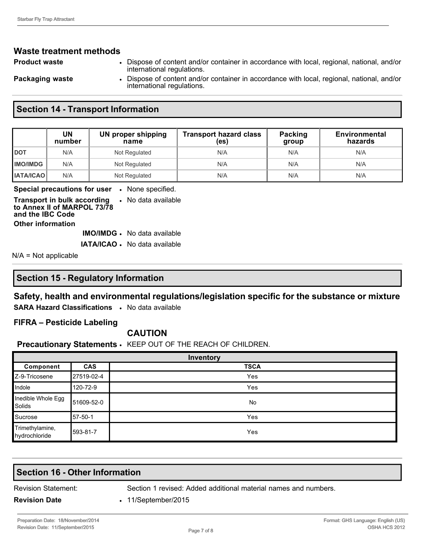# **Waste treatment methods**

- -
- **Product waste** Dispose of content and/or container in accordance with local, regional, national, and/or international regulations.

**Packaging waste • Dispose of content and/or container in accordance with local, regional, national, and/or** international regulations.

#### **Section 14 - Transport Information**

|                    | UN<br>number | UN proper shipping<br>name | <b>Transport hazard class</b><br>(es) | Packing<br>group | <b>Environmental</b><br>hazards |
|--------------------|--------------|----------------------------|---------------------------------------|------------------|---------------------------------|
| <b> </b> рот       | N/A          | Not Regulated              | N/A                                   | N/A              | N/A                             |
| <b>IIMO/IMDG</b>   | N/A          | Not Regulated              | N/A                                   | N/A              | N/A                             |
| <b>I IATA/ICAO</b> | N/A          | Not Regulated              | N/A                                   | N/A              | N/A                             |

**Special precautions for user** • None specified.

**Transport in bulk according**  • No data available **to Annex II of MARPOL 73/78 and the IBC Code Other information IMO/IMDG** • No data available

**IATA/ICAO** • No data available

N/A = Not applicable

#### **Section 15 Regulatory Information**

### **Safety, health and environmental regulations/legislation specific for the substance or mixture**

**SARA Hazard Classifications** • No data available

#### **FIFRA – Pesticide Labeling**

#### **CAUTION**

#### **Precautionary Statements** • KEEP OUT OF THE REACH OF CHILDREN.

| Inventory                        |            |             |
|----------------------------------|------------|-------------|
| Component                        | <b>CAS</b> | <b>TSCA</b> |
| Z-9-Tricosene                    | 27519-02-4 | Yes         |
| Indole                           | 120-72-9   | Yes         |
| Inedible Whole Egg<br>Solids     | 51609-52-0 | No          |
| Sucrose                          | 157-50-1   | Yes         |
| Trimethylamine,<br>hydrochloride | 593-81-7   | Yes         |

# **Section 16 - Other Information**

Revision Statement: Section 1 revised: Added additional material names and numbers.

**Revision Date** • 11/September/2015